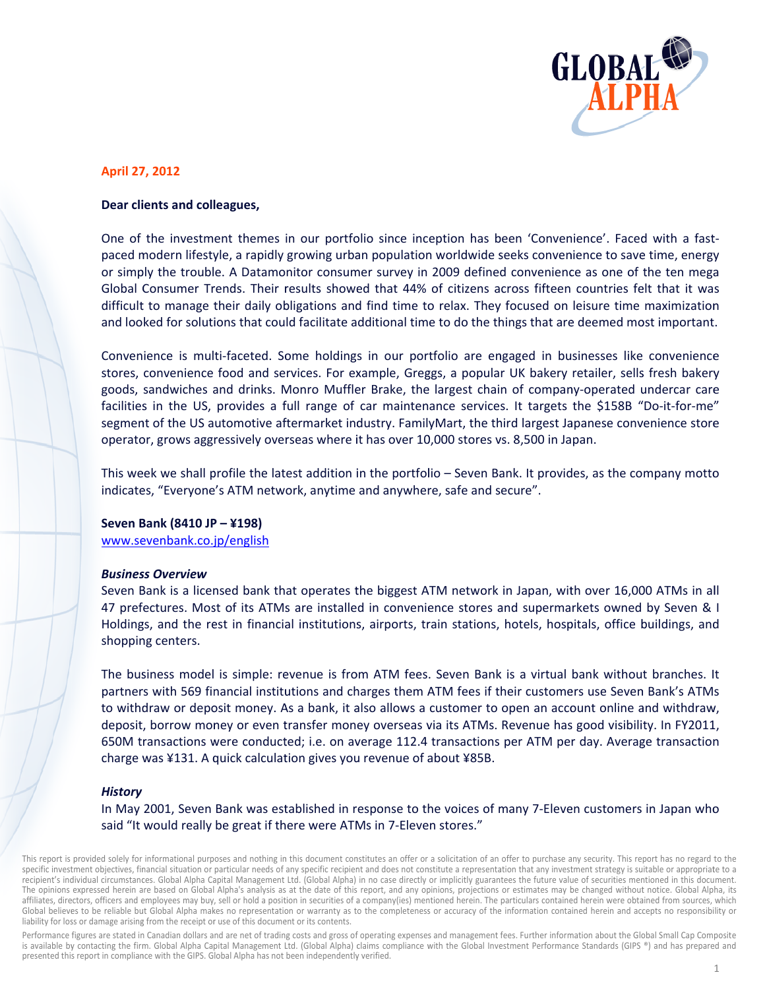

# **April 27, 2012**

## Dear clients and colleagues,

One of the investment themes in our portfolio since inception has been 'Convenience'. Faced with a fastpaced modern lifestyle, a rapidly growing urban population worldwide seeks convenience to save time, energy or simply the trouble. A Datamonitor consumer survey in 2009 defined convenience as one of the ten mega Global Consumer Trends. Their results showed that 44% of citizens across fifteen countries felt that it was difficult to manage their daily obligations and find time to relax. They focused on leisure time maximization and looked for solutions that could facilitate additional time to do the things that are deemed most important.

Convenience is multi-faceted. Some holdings in our portfolio are engaged in businesses like convenience stores, convenience food and services. For example, Greggs, a popular UK bakery retailer, sells fresh bakery goods, sandwiches and drinks. Monro Muffler Brake, the largest chain of company-operated undercar care facilities in the US, provides a full range of car maintenance services. It targets the \$158B "Do-it-for-me" segment of the US automotive aftermarket industry. FamilyMart, the third largest Japanese convenience store operator, grows aggressively overseas where it has over 10,000 stores vs. 8,500 in Japan.

This week we shall profile the latest addition in the portfolio - Seven Bank. It provides, as the company motto indicates, "Everyone's ATM network, anytime and anywhere, safe and secure".

### Seven Bank (8410 JP - ¥198)

www.sevenbank.co.jp/english

### **Business Overview**

Seven Bank is a licensed bank that operates the biggest ATM network in Japan, with over 16,000 ATMs in all 47 prefectures. Most of its ATMs are installed in convenience stores and supermarkets owned by Seven & I Holdings, and the rest in financial institutions, airports, train stations, hotels, hospitals, office buildings, and shopping centers.

The business model is simple: revenue is from ATM fees. Seven Bank is a virtual bank without branches. It partners with 569 financial institutions and charges them ATM fees if their customers use Seven Bank's ATMs to withdraw or deposit money. As a bank, it also allows a customer to open an account online and withdraw, deposit, borrow money or even transfer money overseas via its ATMs. Revenue has good visibility. In FY2011, 650M transactions were conducted; i.e. on average 112.4 transactions per ATM per day. Average transaction charge was ¥131. A quick calculation gives you revenue of about ¥85B.

### **History**

In May 2001, Seven Bank was established in response to the voices of many 7-Eleven customers in Japan who said "It would really be great if there were ATMs in 7-Eleven stores."

This report is provided solely for informational purposes and nothing in this document constitutes an offer or a solicitation of an offer to purchase any security. This report has no regard to the specific investment objectives, financial situation or particular needs of any specific recipient and does not constitute a representation that any investment strategy is suitable or appropriate to a recipient's individual circumstances. Global Alpha Capital Management Ltd. (Global Alpha) in no case directly or implicitly guarantees the future value of securities mentioned in this document. The opinions expressed herein are based on Global Alpha's analysis as at the date of this report, and any opinions, projections or estimates may be changed without notice. Global Alpha, its affiliates, directors, officers and employees may buy, sell or hold a position in securities of a company(ies) mentioned herein. The particulars contained herein were obtained from sources, which Global believes to be reliable but Global Alpha makes no representation or warranty as to the completeness or accuracy of the information contained herein and accepts no responsibility or liability for loss or damage arising from the receipt or use of this document or its contents.

Performance figures are stated in Canadian dollars and are net of trading costs and gross of operating expenses and management fees. Further information about the Global Small Cap Composite is available by contacting the firm. Global Alpha Capital Management Ltd. (Global Alpha) claims compliance with the Global Investment Performance Standards (GIPS ®) and has prepared and presented this report in compliance with the GIPS. Global Alpha has not been independently verified.